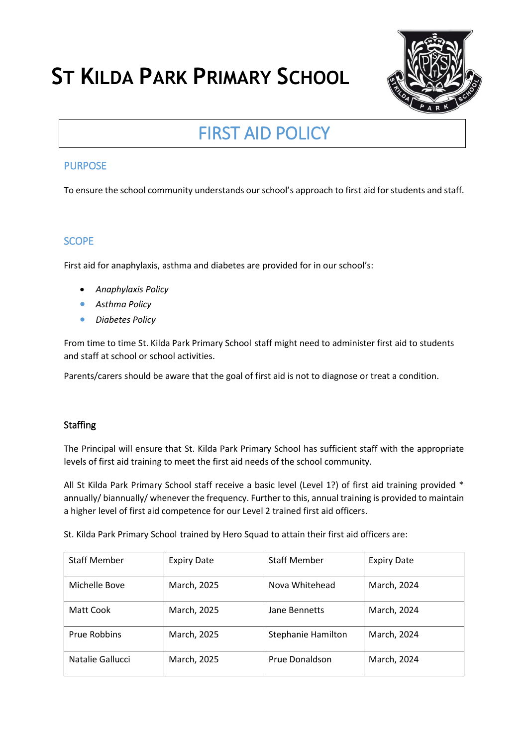# **ST KILDA PARK PRIMARY SCHOOL**



# FIRST AID POLICY

# PURPOSE

To ensure the school community understands our school's approach to first aid for students and staff.

# **SCOPE**

First aid for anaphylaxis, asthma and diabetes are provided for in our school's:

- *Anaphylaxis Policy*
- *Asthma Policy*
- *Diabetes Policy*

From time to time St. Kilda Park Primary School staff might need to administer first aid to students and staff at school or school activities.

Parents/carers should be aware that the goal of first aid is not to diagnose or treat a condition.

# **Staffing**

The Principal will ensure that St. Kilda Park Primary School has sufficient staff with the appropriate levels of first aid training to meet the first aid needs of the school community.

All St Kilda Park Primary School staff receive a basic level (Level 1?) of first aid training provided \* annually/ biannually/ whenever the frequency. Further to this, annual training is provided to maintain a higher level of first aid competence for our Level 2 trained first aid officers.

St. Kilda Park Primary School trained by Hero Squad to attain their first aid officers are:

| <b>Staff Member</b> | <b>Expiry Date</b> | <b>Staff Member</b>       | <b>Expiry Date</b> |
|---------------------|--------------------|---------------------------|--------------------|
| Michelle Bove       | March, 2025        | Nova Whitehead            | March, 2024        |
| Matt Cook           | March, 2025        | Jane Bennetts             | March, 2024        |
| <b>Prue Robbins</b> | March, 2025        | <b>Stephanie Hamilton</b> | March, 2024        |
| Natalie Gallucci    | March, 2025        | Prue Donaldson            | March, 2024        |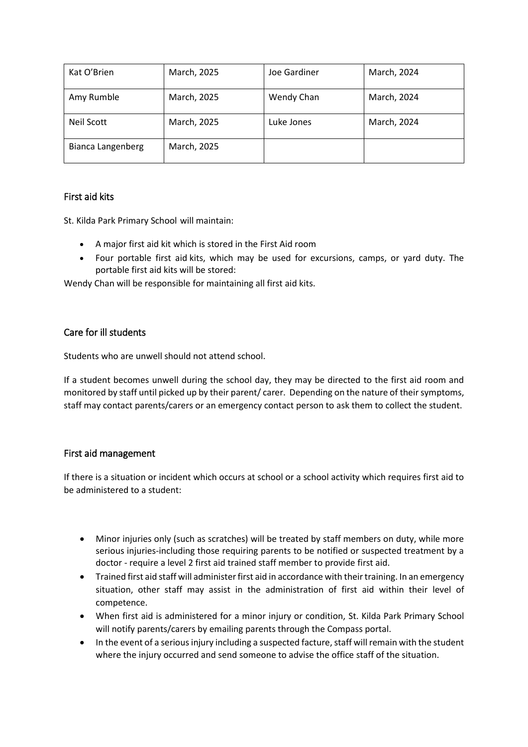| Kat O'Brien       | March, 2025 | Joe Gardiner | March, 2024 |
|-------------------|-------------|--------------|-------------|
| Amy Rumble        | March, 2025 | Wendy Chan   | March, 2024 |
| Neil Scott        | March, 2025 | Luke Jones   | March, 2024 |
| Bianca Langenberg | March, 2025 |              |             |

#### First aid kits

St. Kilda Park Primary School will maintain:

- A major first aid kit which is stored in the First Aid room
- Four portable first aid kits, which may be used for excursions, camps, or yard duty. The portable first aid kits will be stored:

Wendy Chan will be responsible for maintaining all first aid kits.

#### Care for ill students

Students who are unwell should not attend school.

If a student becomes unwell during the school day, they may be directed to the first aid room and monitored by staff until picked up by their parent/ carer. Depending on the nature of their symptoms, staff may contact parents/carers or an emergency contact person to ask them to collect the student.

#### First aid management

If there is a situation or incident which occurs at school or a school activity which requires first aid to be administered to a student:

- Minor injuries only (such as scratches) will be treated by staff members on duty, while more serious injuries-including those requiring parents to be notified or suspected treatment by a doctor - require a level 2 first aid trained staff member to provide first aid.
- Trained first aid staff will administer first aid in accordance with their training. In an emergency situation, other staff may assist in the administration of first aid within their level of competence.
- When first aid is administered for a minor injury or condition, St. Kilda Park Primary School will notify parents/carers by emailing parents through the Compass portal.
- In the event of a serious injury including a suspected facture, staff will remain with the student where the injury occurred and send someone to advise the office staff of the situation.